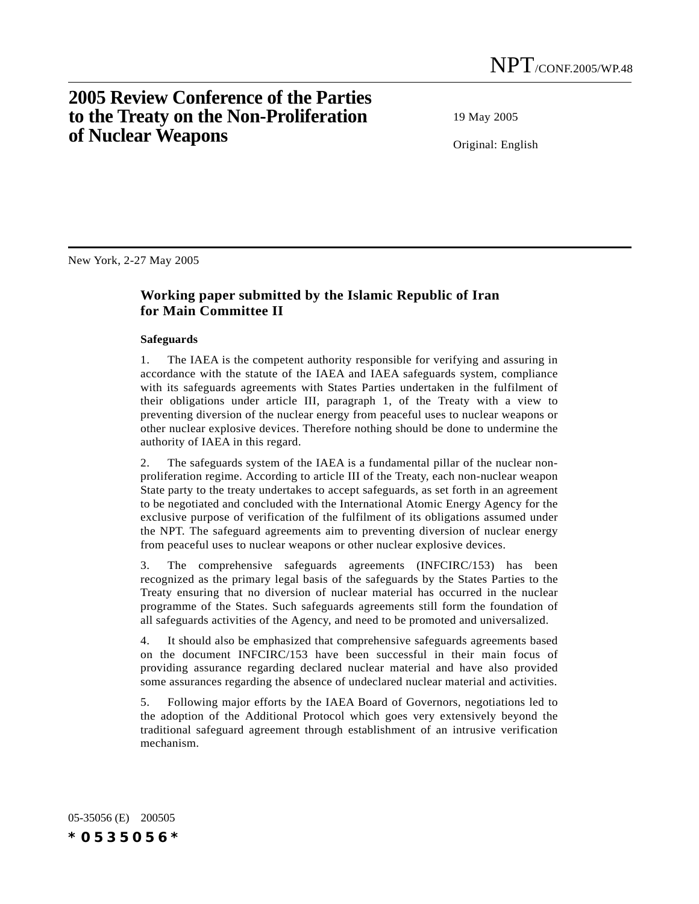# **2005 Review Conference of the Parties to the Treaty on the Non-Proliferation of Nuclear Weapons**

19 May 2005

Original: English

New York, 2-27 May 2005

## **Working paper submitted by the Islamic Republic of Iran for Main Committee II**

#### **Safeguards**

1. The IAEA is the competent authority responsible for verifying and assuring in accordance with the statute of the IAEA and IAEA safeguards system, compliance with its safeguards agreements with States Parties undertaken in the fulfilment of their obligations under article III, paragraph 1, of the Treaty with a view to preventing diversion of the nuclear energy from peaceful uses to nuclear weapons or other nuclear explosive devices. Therefore nothing should be done to undermine the authority of IAEA in this regard.

2. The safeguards system of the IAEA is a fundamental pillar of the nuclear nonproliferation regime. According to article III of the Treaty, each non-nuclear weapon State party to the treaty undertakes to accept safeguards, as set forth in an agreement to be negotiated and concluded with the International Atomic Energy Agency for the exclusive purpose of verification of the fulfilment of its obligations assumed under the NPT. The safeguard agreements aim to preventing diversion of nuclear energy from peaceful uses to nuclear weapons or other nuclear explosive devices.

3. The comprehensive safeguards agreements (INFCIRC/153) has been recognized as the primary legal basis of the safeguards by the States Parties to the Treaty ensuring that no diversion of nuclear material has occurred in the nuclear programme of the States. Such safeguards agreements still form the foundation of all safeguards activities of the Agency, and need to be promoted and universalized.

4. It should also be emphasized that comprehensive safeguards agreements based on the document INFCIRC/153 have been successful in their main focus of providing assurance regarding declared nuclear material and have also provided some assurances regarding the absence of undeclared nuclear material and activities.

5. Following major efforts by the IAEA Board of Governors, negotiations led to the adoption of the Additional Protocol which goes very extensively beyond the traditional safeguard agreement through establishment of an intrusive verification mechanism.

05-35056 (E) 200505 *\*0535056\**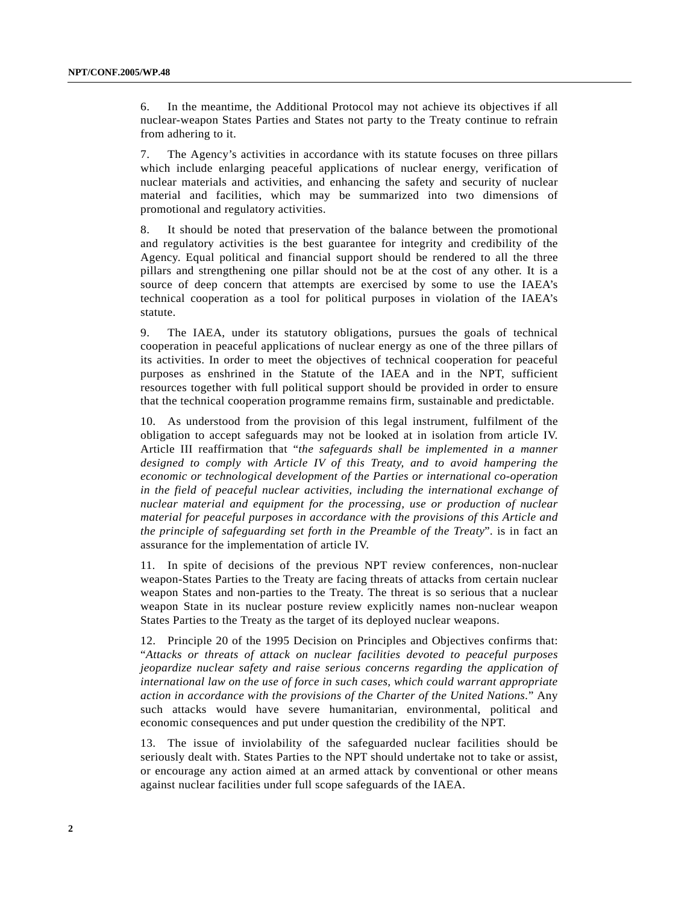6. In the meantime, the Additional Protocol may not achieve its objectives if all nuclear-weapon States Parties and States not party to the Treaty continue to refrain from adhering to it.

7. The Agency's activities in accordance with its statute focuses on three pillars which include enlarging peaceful applications of nuclear energy, verification of nuclear materials and activities, and enhancing the safety and security of nuclear material and facilities, which may be summarized into two dimensions of promotional and regulatory activities.

8. It should be noted that preservation of the balance between the promotional and regulatory activities is the best guarantee for integrity and credibility of the Agency. Equal political and financial support should be rendered to all the three pillars and strengthening one pillar should not be at the cost of any other. It is a source of deep concern that attempts are exercised by some to use the IAEA's technical cooperation as a tool for political purposes in violation of the IAEA's statute.

9. The IAEA, under its statutory obligations, pursues the goals of technical cooperation in peaceful applications of nuclear energy as one of the three pillars of its activities. In order to meet the objectives of technical cooperation for peaceful purposes as enshrined in the Statute of the IAEA and in the NPT, sufficient resources together with full political support should be provided in order to ensure that the technical cooperation programme remains firm, sustainable and predictable.

10. As understood from the provision of this legal instrument, fulfilment of the obligation to accept safeguards may not be looked at in isolation from article IV. Article III reaffirmation that "*the safeguards shall be implemented in a manner designed to comply with Article IV of this Treaty, and to avoid hampering the economic or technological development of the Parties or international co-operation in the field of peaceful nuclear activities, including the international exchange of nuclear material and equipment for the processing, use or production of nuclear material for peaceful purposes in accordance with the provisions of this Article and the principle of safeguarding set forth in the Preamble of the Treaty*". is in fact an assurance for the implementation of article IV.

11. In spite of decisions of the previous NPT review conferences, non-nuclear weapon-States Parties to the Treaty are facing threats of attacks from certain nuclear weapon States and non-parties to the Treaty. The threat is so serious that a nuclear weapon State in its nuclear posture review explicitly names non-nuclear weapon States Parties to the Treaty as the target of its deployed nuclear weapons.

12. Principle 20 of the 1995 Decision on Principles and Objectives confirms that: "*Attacks or threats of attack on nuclear facilities devoted to peaceful purposes jeopardize nuclear safety and raise serious concerns regarding the application of international law on the use of force in such cases, which could warrant appropriate action in accordance with the provisions of the Charter of the United Nations.*" Any such attacks would have severe humanitarian, environmental, political and economic consequences and put under question the credibility of the NPT.

13. The issue of inviolability of the safeguarded nuclear facilities should be seriously dealt with. States Parties to the NPT should undertake not to take or assist, or encourage any action aimed at an armed attack by conventional or other means against nuclear facilities under full scope safeguards of the IAEA.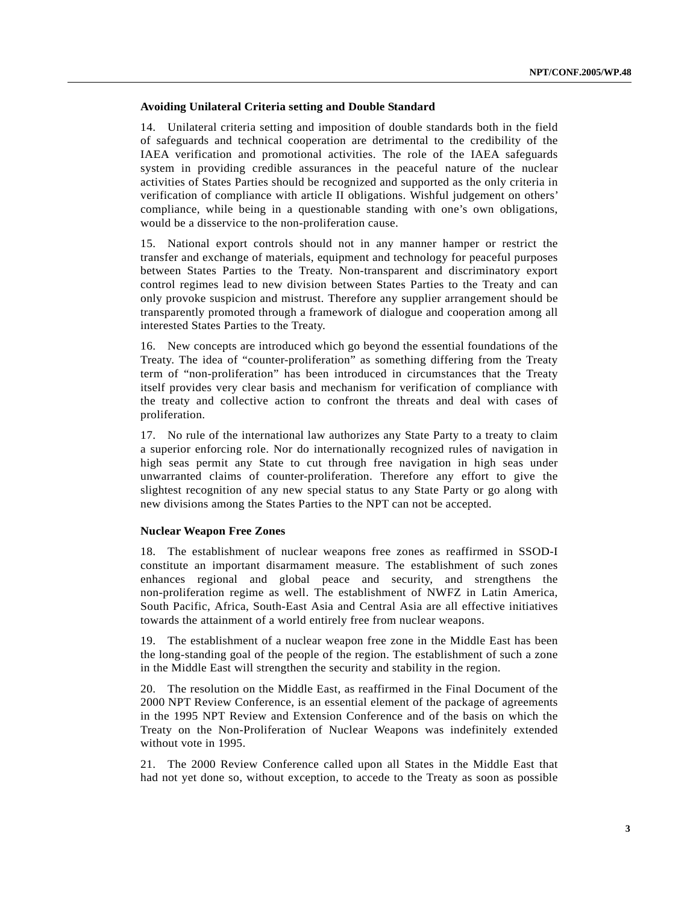### **Avoiding Unilateral Criteria setting and Double Standard**

14. Unilateral criteria setting and imposition of double standards both in the field of safeguards and technical cooperation are detrimental to the credibility of the IAEA verification and promotional activities. The role of the IAEA safeguards system in providing credible assurances in the peaceful nature of the nuclear activities of States Parties should be recognized and supported as the only criteria in verification of compliance with article II obligations. Wishful judgement on others' compliance, while being in a questionable standing with one's own obligations, would be a disservice to the non-proliferation cause.

15. National export controls should not in any manner hamper or restrict the transfer and exchange of materials, equipment and technology for peaceful purposes between States Parties to the Treaty. Non-transparent and discriminatory export control regimes lead to new division between States Parties to the Treaty and can only provoke suspicion and mistrust. Therefore any supplier arrangement should be transparently promoted through a framework of dialogue and cooperation among all interested States Parties to the Treaty.

16. New concepts are introduced which go beyond the essential foundations of the Treaty. The idea of "counter-proliferation" as something differing from the Treaty term of "non-proliferation" has been introduced in circumstances that the Treaty itself provides very clear basis and mechanism for verification of compliance with the treaty and collective action to confront the threats and deal with cases of proliferation.

17. No rule of the international law authorizes any State Party to a treaty to claim a superior enforcing role. Nor do internationally recognized rules of navigation in high seas permit any State to cut through free navigation in high seas under unwarranted claims of counter-proliferation. Therefore any effort to give the slightest recognition of any new special status to any State Party or go along with new divisions among the States Parties to the NPT can not be accepted.

#### **Nuclear Weapon Free Zones**

18. The establishment of nuclear weapons free zones as reaffirmed in SSOD-I constitute an important disarmament measure. The establishment of such zones enhances regional and global peace and security, and strengthens the non-proliferation regime as well. The establishment of NWFZ in Latin America, South Pacific, Africa, South-East Asia and Central Asia are all effective initiatives towards the attainment of a world entirely free from nuclear weapons.

19. The establishment of a nuclear weapon free zone in the Middle East has been the long-standing goal of the people of the region. The establishment of such a zone in the Middle East will strengthen the security and stability in the region.

20. The resolution on the Middle East, as reaffirmed in the Final Document of the 2000 NPT Review Conference, is an essential element of the package of agreements in the 1995 NPT Review and Extension Conference and of the basis on which the Treaty on the Non-Proliferation of Nuclear Weapons was indefinitely extended without vote in 1995.

21. The 2000 Review Conference called upon all States in the Middle East that had not yet done so, without exception, to accede to the Treaty as soon as possible